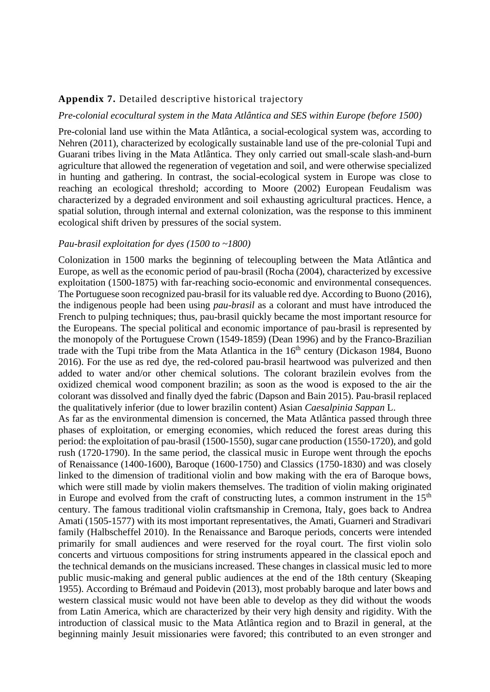# **Appendix 7.** Detailed descriptive historical trajectory

### *Pre-colonial ecocultural system in the Mata Atlântica and SES within Europe (before 1500)*

Pre-colonial land use within the Mata Atlântica, a social-ecological system was, according to Nehren (2011), characterized by ecologically sustainable land use of the pre-colonial Tupi and Guarani tribes living in the Mata Atlântica. They only carried out small-scale slash-and-burn agriculture that allowed the regeneration of vegetation and soil, and were otherwise specialized in hunting and gathering. In contrast, the social-ecological system in Europe was close to reaching an ecological threshold; according to Moore (2002) European Feudalism was characterized by a degraded environment and soil exhausting agricultural practices. Hence, a spatial solution, through internal and external colonization, was the response to this imminent ecological shift driven by pressures of the social system.

#### *Pau-brasil exploitation for dyes (1500 to ~1800)*

Colonization in 1500 marks the beginning of telecoupling between the Mata Atlântica and Europe, as well as the economic period of pau-brasil (Rocha (2004), characterized by excessive exploitation (1500-1875) with far-reaching socio-economic and environmental consequences. The Portuguese soon recognized pau-brasil for its valuable red dye. According to Buono (2016), the indigenous people had been using *pau-brasil* as a colorant and must have introduced the French to pulping techniques; thus, pau-brasil quickly became the most important resource for the Europeans. The special political and economic importance of pau-brasil is represented by the monopoly of the Portuguese Crown (1549-1859) (Dean 1996) and by the Franco-Brazilian trade with the Tupi tribe from the Mata Atlantica in the 16<sup>th</sup> century (Dickason 1984, Buono 2016). For the use as red dye, the red-colored pau-brasil heartwood was pulverized and then added to water and/or other chemical solutions. The colorant brazilein evolves from the oxidized chemical wood component brazilin; as soon as the wood is exposed to the air the colorant was dissolved and finally dyed the fabric (Dapson and Bain 2015). Pau-brasil replaced the qualitatively inferior (due to lower brazilin content) Asian *Caesalpinia Sappan* L.

As far as the environmental dimension is concerned, the Mata Atlântica passed through three phases of exploitation, or emerging economies, which reduced the forest areas during this period: the exploitation of pau-brasil (1500-1550), sugar cane production (1550-1720), and gold rush (1720-1790). In the same period, the classical music in Europe went through the epochs of Renaissance (1400-1600), Baroque (1600-1750) and Classics (1750-1830) and was closely linked to the dimension of traditional violin and bow making with the era of Baroque bows, which were still made by violin makers themselves. The tradition of violin making originated in Europe and evolved from the craft of constructing lutes, a common instrument in the  $15<sup>th</sup>$ century. The famous traditional violin craftsmanship in Cremona, Italy, goes back to Andrea Amati (1505-1577) with its most important representatives, the Amati, Guarneri and Stradivari family (Halbscheffel 2010). In the Renaissance and Baroque periods, concerts were intended primarily for small audiences and were reserved for the royal court. The first violin solo concerts and virtuous compositions for string instruments appeared in the classical epoch and the technical demands on the musicians increased. These changes in classical music led to more public music-making and general public audiences at the end of the 18th century (Skeaping 1955). According to Brémaud and Poidevin (2013), most probably baroque and later bows and western classical music would not have been able to develop as they did without the woods from Latin America, which are characterized by their very high density and rigidity. With the introduction of classical music to the Mata Atlântica region and to Brazil in general, at the beginning mainly Jesuit missionaries were favored; this contributed to an even stronger and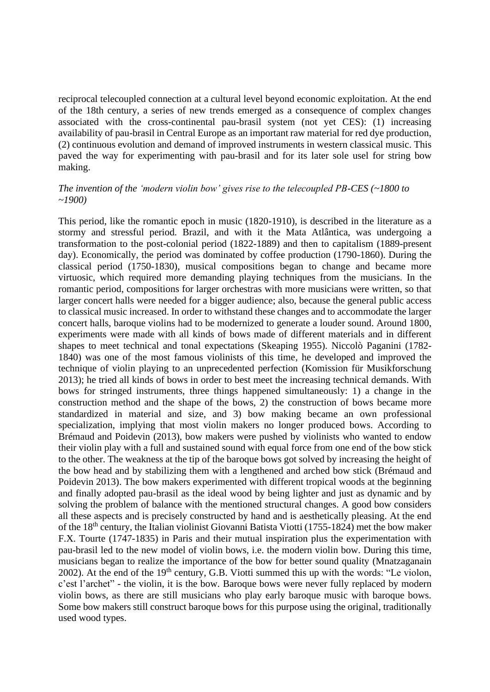reciprocal telecoupled connection at a cultural level beyond economic exploitation. At the end of the 18th century, a series of new trends emerged as a consequence of complex changes associated with the cross-continental pau-brasil system (not yet CES): (1) increasing availability of pau-brasil in Central Europe as an important raw material for red dye production, (2) continuous evolution and demand of improved instruments in western classical music. This paved the way for experimenting with pau-brasil and for its later sole usel for string bow making.

## *The invention of the 'modern violin bow' gives rise to the telecoupled PB-CES (~1800 to ~1900)*

This period, like the romantic epoch in music (1820-1910), is described in the literature as a stormy and stressful period. Brazil, and with it the Mata Atlântica, was undergoing a transformation to the post-colonial period (1822-1889) and then to capitalism (1889-present day). Economically, the period was dominated by coffee production (1790-1860). During the classical period (1750-1830), musical compositions began to change and became more virtuosic, which required more demanding playing techniques from the musicians. In the romantic period, compositions for larger orchestras with more musicians were written, so that larger concert halls were needed for a bigger audience; also, because the general public access to classical music increased. In order to withstand these changes and to accommodate the larger concert halls, baroque violins had to be modernized to generate a louder sound. Around 1800, experiments were made with all kinds of bows made of different materials and in different shapes to meet technical and tonal expectations (Skeaping 1955). Niccolò Paganini (1782- 1840) was one of the most famous violinists of this time, he developed and improved the technique of violin playing to an unprecedented perfection (Komission für Musikforschung 2013); he tried all kinds of bows in order to best meet the increasing technical demands. With bows for stringed instruments, three things happened simultaneously: 1) a change in the construction method and the shape of the bows, 2) the construction of bows became more standardized in material and size, and 3) bow making became an own professional specialization, implying that most violin makers no longer produced bows. According to Brémaud and Poidevin (2013), bow makers were pushed by violinists who wanted to endow their violin play with a full and sustained sound with equal force from one end of the bow stick to the other. The weakness at the tip of the baroque bows got solved by increasing the height of the bow head and by stabilizing them with a lengthened and arched bow stick (Brémaud and Poidevin 2013). The bow makers experimented with different tropical woods at the beginning and finally adopted pau-brasil as the ideal wood by being lighter and just as dynamic and by solving the problem of balance with the mentioned structural changes. A good bow considers all these aspects and is precisely constructed by hand and is aesthetically pleasing. At the end of the 18th century, the Italian violinist Giovanni Batista Viotti (1755-1824) met the bow maker F.X. Tourte (1747-1835) in Paris and their mutual inspiration plus the experimentation with pau-brasil led to the new model of violin bows, i.e. the modern violin bow. During this time, musicians began to realize the importance of the bow for better sound quality (Mnatzaganain 2002). At the end of the 19<sup>th</sup> century, G.B. Viotti summed this up with the words: "Le violon, c'est l'archet" - the violin, it is the bow. Baroque bows were never fully replaced by modern violin bows, as there are still musicians who play early baroque music with baroque bows. Some bow makers still construct baroque bows for this purpose using the original, traditionally used wood types.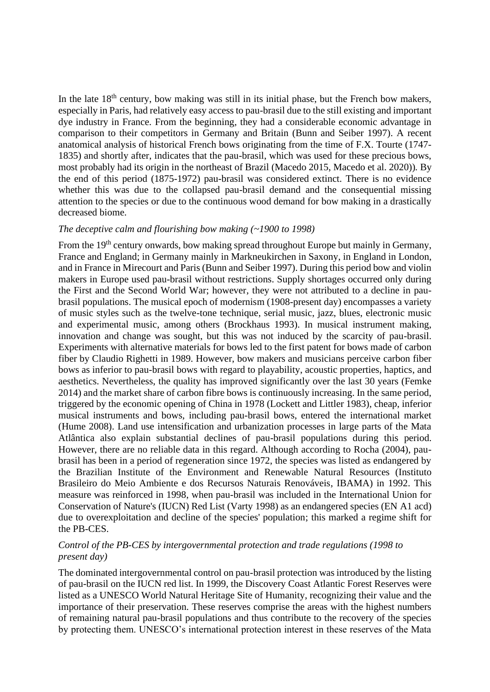In the late  $18<sup>th</sup>$  century, bow making was still in its initial phase, but the French bow makers, especially in Paris, had relatively easy access to pau-brasil due to the still existing and important dye industry in France. From the beginning, they had a considerable economic advantage in comparison to their competitors in Germany and Britain (Bunn and Seiber 1997). A recent anatomical analysis of historical French bows originating from the time of F.X. Tourte (1747- 1835) and shortly after, indicates that the pau-brasil, which was used for these precious bows, most probably had its origin in the northeast of Brazil (Macedo 2015, Macedo et al. 2020))*.* By the end of this period (1875-1972) pau-brasil was considered extinct. There is no evidence whether this was due to the collapsed pau-brasil demand and the consequential missing attention to the species or due to the continuous wood demand for bow making in a drastically decreased biome.

### *The deceptive calm and flourishing bow making (~1900 to 1998)*

From the 19<sup>th</sup> century onwards, bow making spread throughout Europe but mainly in Germany, France and England; in Germany mainly in Markneukirchen in Saxony, in England in London, and in France in Mirecourt and Paris (Bunn and Seiber 1997). During this period bow and violin makers in Europe used pau-brasil without restrictions. Supply shortages occurred only during the First and the Second World War; however, they were not attributed to a decline in paubrasil populations. The musical epoch of modernism (1908-present day) encompasses a variety of music styles such as the twelve-tone technique, serial music, jazz, blues, electronic music and experimental music, among others (Brockhaus 1993). In musical instrument making, innovation and change was sought, but this was not induced by the scarcity of pau-brasil. Experiments with alternative materials for bows led to the first patent for bows made of carbon fiber by Claudio Righetti in 1989. However, bow makers and musicians perceive carbon fiber bows as inferior to pau-brasil bows with regard to playability, acoustic properties, haptics, and aesthetics. Nevertheless, the quality has improved significantly over the last 30 years (Femke 2014) and the market share of carbon fibre bows is continuously increasing. In the same period, triggered by the economic opening of China in 1978 (Lockett and Littler 1983), cheap, inferior musical instruments and bows, including pau-brasil bows, entered the international market (Hume 2008). Land use intensification and urbanization processes in large parts of the Mata Atlântica also explain substantial declines of pau-brasil populations during this period. However, there are no reliable data in this regard. Although according to Rocha (2004), paubrasil has been in a period of regeneration since 1972, the species was listed as endangered by the Brazilian Institute of the Environment and Renewable Natural Resources (Instituto Brasileiro do Meio Ambiente e dos Recursos Naturais Renováveis, IBAMA) in 1992. This measure was reinforced in 1998, when pau-brasil was included in the International Union for Conservation of Nature's (IUCN) Red List (Varty 1998) as an endangered species (EN A1 acd) due to overexploitation and decline of the species' population; this marked a regime shift for the PB-CES.

# *Control of the PB-CES by intergovernmental protection and trade regulations (1998 to present day)*

The dominated intergovernmental control on pau-brasil protection was introduced by the listing of pau-brasil on the IUCN red list. In 1999, the Discovery Coast Atlantic Forest Reserves were listed as a UNESCO World Natural Heritage Site of Humanity, recognizing their value and the importance of their preservation. These reserves comprise the areas with the highest numbers of remaining natural pau-brasil populations and thus contribute to the recovery of the species by protecting them. UNESCO's international protection interest in these reserves of the Mata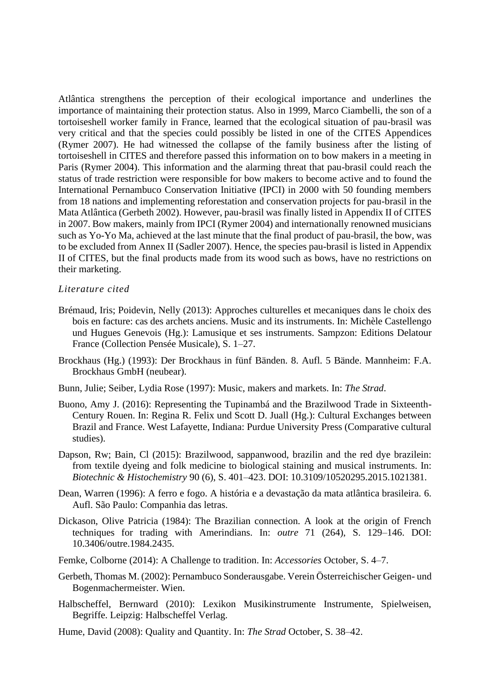Atlântica strengthens the perception of their ecological importance and underlines the importance of maintaining their protection status. Also in 1999, Marco Ciambelli, the son of a tortoiseshell worker family in France, learned that the ecological situation of pau-brasil was very critical and that the species could possibly be listed in one of the CITES Appendices (Rymer 2007). He had witnessed the collapse of the family business after the listing of tortoiseshell in CITES and therefore passed this information on to bow makers in a meeting in Paris (Rymer 2004). This information and the alarming threat that pau-brasil could reach the status of trade restriction were responsible for bow makers to become active and to found the International Pernambuco Conservation Initiative (IPCI) in 2000 with 50 founding members from 18 nations and implementing reforestation and conservation projects for pau-brasil in the Mata Atlântica (Gerbeth 2002). However, pau-brasil was finally listed in Appendix II of CITES in 2007. Bow makers, mainly from IPCI (Rymer 2004) and internationally renowned musicians such as Yo-Yo Ma, achieved at the last minute that the final product of pau-brasil, the bow, was to be excluded from Annex II (Sadler 2007). Hence, the species pau-brasil is listed in Appendix II of CITES, but the final products made from its wood such as bows, have no restrictions on their marketing.

#### *Literature cited*

- Brémaud, Iris; Poidevin, Nelly (2013): Approches culturelles et mecaniques dans le choix des bois en facture: cas des archets anciens. Music and its instruments. In: Michèle Castellengo und Hugues Genevois (Hg.): Lamusique et ses instruments. Sampzon: Editions Delatour France (Collection Pensée Musicale), S. 1–27.
- Brockhaus (Hg.) (1993): Der Brockhaus in fünf Bänden. 8. Aufl. 5 Bände. Mannheim: F.A. Brockhaus GmbH (neubear).
- Bunn, Julie; Seiber, Lydia Rose (1997): Music, makers and markets. In: *The Strad*.
- Buono, Amy J. (2016): Representing the Tupinambá and the Brazilwood Trade in Sixteenth-Century Rouen. In: Regina R. Felix und Scott D. Juall (Hg.): Cultural Exchanges between Brazil and France. West Lafayette, Indiana: Purdue University Press (Comparative cultural studies).
- Dapson, Rw; Bain, Cl (2015): Brazilwood, sappanwood, brazilin and the red dye brazilein: from textile dyeing and folk medicine to biological staining and musical instruments. In: *Biotechnic & Histochemistry* 90 (6), S. 401–423. DOI: 10.3109/10520295.2015.1021381.
- Dean, Warren (1996): A ferro e fogo. A história e a devastação da mata atlântica brasileira. 6. Aufl. São Paulo: Companhia das letras.
- Dickason, Olive Patricia (1984): The Brazilian connection. A look at the origin of French techniques for trading with Amerindians. In: *outre* 71 (264), S. 129–146. DOI: 10.3406/outre.1984.2435.
- Femke, Colborne (2014): A Challenge to tradition. In: *Accessories* October, S. 4–7.
- Gerbeth, Thomas M. (2002): Pernambuco Sonderausgabe. Verein Österreichischer Geigen- und Bogenmachermeister. Wien.
- Halbscheffel, Bernward (2010): Lexikon Musikinstrumente Instrumente, Spielweisen, Begriffe. Leipzig: Halbscheffel Verlag.
- Hume, David (2008): Quality and Quantity. In: *The Strad* October, S. 38–42.